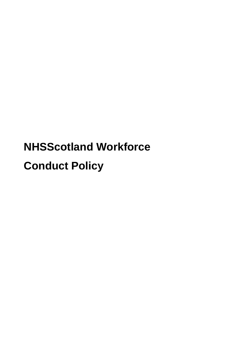# **NHSScotland Workforce Conduct Policy**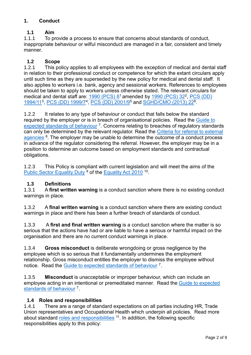# **1. Conduct**

# **1.1 Aim**

1.1.1 To provide a process to ensure that concerns about standards of conduct, inappropriate behaviour or wilful misconduct are managed in a fair, consistent and timely manner.

# **1.2 Scope**

1.2.1 This policy applies to all employees with the exception of medical and dental staff in relation to their professional conduct or competence for which the extant circulars apply until such time as they are superseded by the new policy for medical and dental staff. It also applies to workers i.e. bank, agency and sessional workers. References to employees should be taken to apply to workers unless otherwise stated. The relevant circulars for medical and dental staff are:  $1990$  (PCS)  $8^1$  amended by  $1990$  (PCS)  $32^2$ , PCS (DD) [1994/11](http://www.sehd.scot.nhs.uk/pcs/PCS1994(DD)11.pdf)<sup>3</sup>, [PCS \(DD\) 1999/7](http://www.sehd.scot.nhs.uk/pcs/PCS1999(DD)07.pdf)<sup>4</sup>, [PCS \(DD\) 2001/9](http://www.sehd.scot.nhs.uk/pcs/pcs2001(dd)9.pdf)<sup>5</sup> and [SGHD/CMO \(2013\) 22](https://www.sehd.scot.nhs.uk/cmo/CMO(2013)22.pdf)<sup>6</sup>.

1.2.2 It relates to any type of behaviour or conduct that falls below the standard required by the employer or is in breach of organisational policies. Read the [Guide to](https://workforce.nhs.scot/supporting-documents/guides/conduct-policy-guide-to-expected-standards-of-behaviour/)  [expected standards of behaviour](https://workforce.nhs.scot/supporting-documents/guides/conduct-policy-guide-to-expected-standards-of-behaviour/)<sup>7</sup>. Concerns relating to breaches of regulatory standards can only be determined by the relevant regulator. Read the Criteria for referral to external [agencies](https://workforce.nhs.scot/supporting-documents/guides/criteria-for-referral-to-external-agencies/)<sup>8</sup>. The employer may be unable to determine the outcome of a conduct process in advance of the regulator considering the referral. However, the employer may be in a position to determine an outcome based on employment standards and contractual obligations.

1.2.3 This Policy is compliant with current legislation and will meet the aims of the [Public Sector Equality Duty](https://workforce.nhs.scot/about/principles-and-values/)<sup>9</sup> of the [Equality Act 2010](https://www.legislation.gov.uk/ukpga/2010/15/contents)<sup>10</sup>.

# **1.3 Definitions**

1.3.1 A **first written warning** is a conduct sanction where there is no existing conduct warnings in place.

1.3.2 A **final written warning** is a conduct sanction where there are existing conduct warnings in place and there has been a further breach of standards of conduct.

1.3.3 A **first and final written warning** is a conduct sanction where the matter is so serious that the actions have had or are liable to have a serious or harmful impact on the organisation and there are no current conduct warnings in place.

1.3.4 **Gross misconduct** is deliberate wrongdoing or gross negligence by the employee which is so serious that it fundamentally undermines the employment relationship. Gross misconduct entitles the employer to dismiss the employee without notice. Read the [Guide to expected standards of behaviour](https://workforce.nhs.scot/supporting-documents/guides/conduct-policy-guide-to-expected-standards-of-behaviour/)<sup>7</sup>.

1.3.5 **Misconduct** is unacceptable or improper behaviour, which can include an employee acting in an intentional or premeditated manner. Read the [Guide to expected](https://workforce.nhs.scot/supporting-documents/guides/conduct-policy-guide-to-expected-standards-of-behaviour/)  [standards of behaviour](https://workforce.nhs.scot/supporting-documents/guides/conduct-policy-guide-to-expected-standards-of-behaviour/)<sup>7</sup>.

# **1.4 Roles and responsibilities**

1.4.1 There are a range of standard expectations on all parties including HR, Trade Union representatives and Occupational Health which underpin all policies. Read more about standard [roles and responsibilities](https://workforce.nhs.scot/about/roles-and-responsibilities/) <sup>11</sup>. In addition, the following specific responsibilities apply to this policy: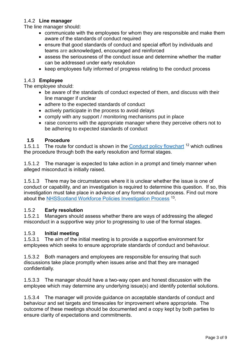## 1.4.2 **Line manager**

The line manager should:

- communicate with the employees for whom they are responsible and make them aware of the standards of conduct required
- ensure that good standards of conduct and special effort by individuals and teams are acknowledged, encouraged and reinforced
- assess the seriousness of the conduct issue and determine whether the matter can be addressed under early resolution
- keep employees fully informed of progress relating to the conduct process

## 1.4.3 **Employee**

The employee should:

- be aware of the standards of conduct expected of them, and discuss with their line manager if unclear
- adhere to the expected standards of conduct
- actively participate in the process to avoid delays
- comply with any support / monitoring mechanisms put in place
- raise concerns with the appropriate manager where they perceive others not to be adhering to expected standards of conduct

#### **1.5 Procedure**

1.5.1.1 The route for conduct is shown in the [Conduct policy flowchart](https://workforce.nhs.scot/media/zmlp1z1s/nhsscotland-workforce-conduct-policy-flowchart.pdf) <sup>12</sup> which outlines the procedure through both the early resolution and formal stages.

1.5.1.2 The manager is expected to take action in a prompt and timely manner when alleged misconduct is initially raised.

1.5.1.3 There may be circumstances where it is unclear whether the issue is one of conduct or capability, and an investigation is required to determine this question. If so, this investigation must take place in advance of any formal conduct process. Find out more about the **NHSScotland Workforce Policies Investigation Process**<sup>13</sup>.

#### 1.5.2 **Early resolution**

1.5.2.1 Managers should assess whether there are ways of addressing the alleged misconduct in a supportive way prior to progressing to use of the formal stages.

#### 1.5.3 **Initial meeting**

1.5.3.1 The aim of the initial meeting is to provide a supportive environment for employees which seeks to ensure appropriate standards of conduct and behaviour.

1.5.3.2 Both managers and employees are responsible for ensuring that such discussions take place promptly when issues arise and that they are managed confidentially.

1.5.3.3 The manager should have a two-way open and honest discussion with the employee which may determine any underlying issue(s) and identify potential solutions.

1.5.3.4 The manager will provide guidance on acceptable standards of conduct and behaviour and set targets and timescales for improvement where appropriate. The outcome of these meetings should be documented and a copy kept by both parties to ensure clarity of expectations and commitments.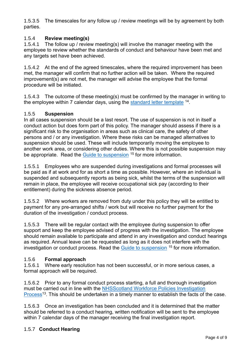1.5.3.5 The timescales for any follow up / review meetings will be by agreement by both parties.

# 1.5.4 **Review meeting(s)**

1.5.4.1 The follow up / review meeting(s) will involve the manager meeting with the employee to review whether the standards of conduct and behaviour have been met and any targets set have been achieved.

1.5.4.2 At the end of the agreed timescales, where the required improvement has been met, the manager will confirm that no further action will be taken. Where the required improvement(s) are not met, the manager will advise the employee that the formal procedure will be initiated.

1.5.4.3 The outcome of these meeting(s) must be confirmed by the manager in writing to the employee within 7 calendar days, using the [standard letter](https://workforce.nhs.scot/policies/conduct-policy-overview/conduct-policy/#supporting-documents) template <sup>14</sup>.

## 1.5.5 **Suspension**

In all cases suspension should be a last resort. The use of suspension is not in itself a conduct action but does form part of this policy. The manager should assess if there is a significant risk to the organisation in areas such as clinical care, the safety of other persons and / or any investigation. Where these risks can be managed alternatives to suspension should be used. These will include temporarily moving the employee to another work area, or considering other duties. Where this is not possible suspension may be appropriate. Read the [Guide to suspension](https://workforce.nhs.scot/supporting-documents/guides/conduct-policy-guide-to-suspension/) <sup>15</sup> for more information.

1.5.5.1 Employees who are suspended during investigations and formal processes will be paid as if at work and for as short a time as possible. However, where an individual is suspended and subsequently reports as being sick, whilst the terms of the suspension will remain in place, the employee will receive occupational sick pay (according to their entitlement) during the sickness absence period.

1.5.5.2 Where workers are removed from duty under this policy they will be entitled to payment for any pre-arranged shifts / work but will receive no further payment for the duration of the investigation / conduct process.

1.5.5.3 There will be regular contact with the employee during suspension to offer support and keep the employee advised of progress with the investigation. The employee should remain available to participate and attend in any investigation and conduct hearings as required. Annual leave can be requested as long as it does not interfere with the investigation or conduct process. Read the [Guide to suspension](https://workforce.nhs.scot/supporting-documents/guides/conduct-policy-guide-to-suspension/) <sup>15</sup> for more information.

#### 1.5.6 **Formal approach**

1.5.6.1 Where early resolution has not been successful, or in more serious cases, a formal approach will be required.

1.5.6.2 Prior to any formal conduct process starting, a full and thorough investigation must be carried out in line with the [NHSScotland Workforce Policies Investigation](https://workforce.nhs.scot/policies/workforce-policies-investigation-process-overview/)  [Process](https://workforce.nhs.scot/policies/workforce-policies-investigation-process-overview/)<sup>13</sup>. This should be undertaken in a timely manner to establish the facts of the case.

1.5.6.3 Once an investigation has been concluded and it is determined that the matter should be referred to a conduct hearing, written notification will be sent to the employee within 7 calendar days of the manager receiving the final investigation report.

# 1.5.7 **Conduct Hearing**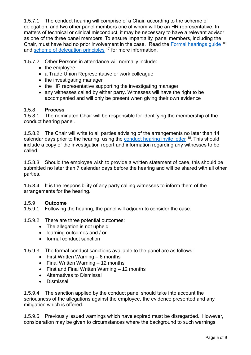1.5.7.1 The conduct hearing will comprise of a Chair, according to the scheme of delegation, and two other panel members one of whom will be an HR representative. In matters of technical or clinical misconduct, it may be necessary to have a relevant advisor as one of the three panel members. To ensure impartiality, panel members, including the Chair, must have had no prior involvement in the case. Read the [Formal hearings](https://workforce.nhs.scot/supporting-documents/guides/formal-hearing-guide/) quide <sup>16</sup> and [scheme of delegation principles](https://workforce.nhs.scot/supporting-documents/guides/scheme-of-delegation-principles/) <sup>17</sup> for more information.

1.5.7.2 Other Persons in attendance will normally include:

- the employee
- a Trade Union Representative or work colleague
- the investigating manager
- the HR representative supporting the investigating manager
- any witnesses called by either party. Witnesses will have the right to be accompanied and will only be present when giving their own evidence

## 1.5.8 **Process**

1.5.8.1 The nominated Chair will be responsible for identifying the membership of the conduct hearing panel.

1.5.8.2 The Chair will write to all parties advising of the arrangements no later than 14 calendar days prior to the hearing, using the **conduct hearing invite letter** <sup>18</sup>. This should include a copy of the investigation report and information regarding any witnesses to be called.

1.5.8.3 Should the employee wish to provide a written statement of case, this should be submitted no later than 7 calendar days before the hearing and will be shared with all other parties.

1.5.8.4 It is the responsibility of any party calling witnesses to inform them of the arrangements for the hearing.

#### 1.5.9 **Outcome**

1.5.9.1 Following the hearing, the panel will adjourn to consider the case.

- 1.5.9.2 There are three potential outcomes:
	- The allegation is not upheld
	- learning outcomes and / or
	- formal conduct sanction

# 1.5.9.3 The formal conduct sanctions available to the panel are as follows:

- $\bullet$  First Written Warning 6 months
- Final Written Warning 12 months
- $\bullet$  First and Final Written Warning  $-12$  months
- Alternatives to Dismissal
- **•** Dismissal

1.5.9.4 The sanction applied by the conduct panel should take into account the seriousness of the allegations against the employee, the evidence presented and any mitigation which is offered.

1.5.9.5 Previously issued warnings which have expired must be disregarded. However, consideration may be given to circumstances where the background to such warnings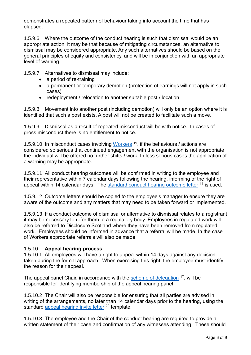demonstrates a repeated pattern of behaviour taking into account the time that has elapsed.

1.5.9.6 Where the outcome of the conduct hearing is such that dismissal would be an appropriate action, it may be that because of mitigating circumstances, an alternative to dismissal may be considered appropriate. Any such alternatives should be based on the general principles of equity and consistency, and will be in conjunction with an appropriate level of warning.

1.5.9.7 Alternatives to dismissal may include:

- a period of re-training
- a permanent or temporary demotion (protection of earnings will not apply in such cases)
- redeployment / relocation to another suitable post / location

1.5.9.8 Movement into another post (including demotion) will only be an option where it is identified that such a post exists. A post will not be created to facilitate such a move.

1.5.9.9 Dismissal as a result of repeated misconduct will be with notice. In cases of gross misconduct there is no entitlement to notice.

1.5.9.10 In misconduct cases involving [Workers](https://workforce.nhs.scot/supporting-documents/guides/guide-to-the-application-of-nhsscotland-workforce-policies-to-workers/)<sup>19</sup>, if the behaviours / actions are considered so serious that continued engagement with the organisation is not appropriate the individual will be offered no further shifts / work. In less serious cases the application of a warning may be appropriate.

1.5.9.11 All conduct hearing outcomes will be confirmed in writing to the employee and their representative within 7 calendar days following the hearing, informing of the right of appeal within 14 calendar days. The [standard conduct hearing outcome letter](https://workforce.nhs.scot/policies/conduct-policy-overview/conduct-policy/#supporting-documents) <sup>14</sup> is used.

1.5.9.12 Outcome letters should be copied to the employee's manager to ensure they are aware of the outcome and any matters that may need to be taken forward or implemented.

1.5.9.13 If a conduct outcome of dismissal or alternative to dismissal relates to a registrant it may be necessary to refer them to a regulatory body. Employees in regulated work will also be referred to Disclosure Scotland where they have been removed from regulated work. Employees should be informed in advance that a referral will be made. In the case of Workers appropriate referrals will also be made.

#### 1.5.10 **Appeal hearing process**

1.5.10.1 All employees will have a right to appeal within 14 days against any decision taken during the formal approach. When exercising this right, the employee must identify the reason for their appeal.

The appeal panel Chair, in accordance with the [scheme of delegation](https://workforce.nhs.scot/supporting-documents/guides/scheme-of-delegation-principles/) <sup>17</sup>, will be responsible for identifying membership of the appeal hearing panel.

1.5.10.2 The Chair will also be responsible for ensuring that all parties are advised in writing of the arrangements, no later than 14 calendar days prior to the hearing, using the standard [appeal hearing invite letter](https://workforce.nhs.scot/supporting-documents/letter-template/conduct-policy-appeal-hearing-invite-letter/) <sup>20</sup> template.

1.5.10.3 The employee and the Chair of the conduct hearing are required to provide a written statement of their case and confirmation of any witnesses attending. These should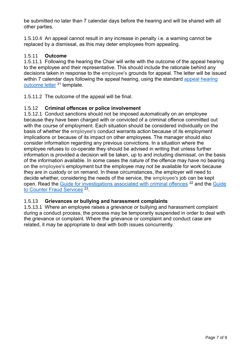be submitted no later than 7 calendar days before the hearing and will be shared with all other parties.

1.5.10.4 An appeal cannot result in any increase in penalty i.e. a warning cannot be replaced by a dismissal, as this may deter employees from appealing.

# 1.5.11 **Outcome**

1.5.11.1 Following the hearing the Chair will write with the outcome of the appeal hearing to the employee and their representative. This should include the rationale behind any decisions taken in response to the employee's grounds for appeal. The letter will be issued within 7 calendar days following the appeal hearing, using the standard appeal hearing [outcome letter](https://workforce.nhs.scot/supporting-documents/letter-template/conduct-policy-appeal-hearing-outcome-letter/) <sup>21</sup> template.

1.5.11.2 The outcome of the appeal will be final.

# 1.5.12 **Criminal offences or police involvement**

1.5.12.1 Conduct sanctions should not be imposed automatically on an employee because they have been charged with or convicted of a criminal offence committed out with the course of employment. Each situation should be considered individually on the basis of whether the employee's conduct warrants action because of its employment implications or because of its impact on other employees. The manager should also consider information regarding any previous convictions. In a situation where the employee refuses to co-operate they should be advised in writing that unless further information is provided a decision will be taken, up to and including dismissal, on the basis of the information available. In some cases the nature of the offence may have no bearing on the employee's employment but the employee may not be available for work because they are in custody or on remand. In these circumstances, the employer will need to decide whether, considering the needs of the service, the employee's job can be kept open. Read the [Guide for investigations associated with criminal offences](https://workforce.nhs.scot/supporting-documents/guides/workforce-policies-investigation-process-guide-for-investigations-associated-with-criminal-offences/) <sup>22</sup> and the Guide to [Counter Fraud Services](https://workforce.nhs.scot/supporting-documents/guides/workforce-policies-investigation-process-guide-to-counter-fraud-services/)<sup>23</sup>.

# 1.5.13 **Grievances or bullying and harassment complaints**

1.5.13.1 Where an employee raises a grievance or bullying and harassment complaint during a conduct process, the process may be temporarily suspended in order to deal with the grievance or complaint. Where the grievance or complaint and conduct case are related, it may be appropriate to deal with both issues concurrently.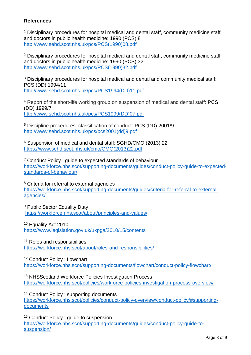## **References**

<sup>1</sup> Disciplinary procedures for hospital medical and dental staff, community medicine staff and doctors in public health medicine: 1990 (PCS) 8 [http://www.sehd.scot.nhs.uk/pcs/PCS\(1990\)08.pdf](http://www.sehd.scot.nhs.uk/pcs/PCS(1990)08.pdf)

<sup>2</sup> Disciplinary procedures for hospital medical and dental staff, community medicine staff and doctors in public health medicine: 1990 (PCS) 32 [http://www.sehd.scot.nhs.uk/pcs/PCS\(1990\)32.pdf](http://www.sehd.scot.nhs.uk/pcs/PCS(1990)32.pdf)

<sup>3</sup> Disciplinary procedures for hospital medical and dental and community medical staff: PCS (DD) 1994/11 [http://www.sehd.scot.nhs.uk/pcs/PCS1994\(DD\)11.pdf](http://www.sehd.scot.nhs.uk/pcs/PCS1994(DD)11.pdf)

<sup>4</sup> Report of the short-life working group on suspension of medical and dental staff: PCS (DD) 1999/7 [http://www.sehd.scot.nhs.uk/pcs/PCS1999\(DD\)07.pdf](http://www.sehd.scot.nhs.uk/pcs/PCS1999(DD)07.pdf)

<sup>5</sup> Discipline procedures: classification of conduct: PCS (DD) 2001/9 [http://www.sehd.scot.nhs.uk/pcs/pcs2001\(dd\)9.pdf](http://www.sehd.scot.nhs.uk/pcs/pcs2001(dd)9.pdf)

<sup>6</sup> Suspension of medical and dental staff: SGHD/CMO (2013) 22 [https://www.sehd.scot.nhs.uk/cmo/CMO\(2013\)22.pdf](https://www.sehd.scot.nhs.uk/cmo/CMO(2013)22.pdf)

<sup>7</sup> Conduct Policy : guide to expected standards of behaviour [https://workforce.nhs.scot/supporting-documents/guides/conduct-policy-guide-to-expected](https://workforce.nhs.scot/supporting-documents/guides/conduct-policy-guide-to-expected-standards-of-behaviour/)[standards-of-behaviour/](https://workforce.nhs.scot/supporting-documents/guides/conduct-policy-guide-to-expected-standards-of-behaviour/)

<sup>8</sup> Criteria for referral to external agencies [https://workforce.nhs.scot/supporting-documents/guides/criteria-for-referral-to-external](https://workforce.nhs.scot/supporting-documents/guides/criteria-for-referral-to-external-agencies/)[agencies/](https://workforce.nhs.scot/supporting-documents/guides/criteria-for-referral-to-external-agencies/)

<sup>9</sup> Public Sector Equality Duty <https://workforce.nhs.scot/about/principles-and-values/>

<sup>10</sup> Equality Act 2010 <https://www.legislation.gov.uk/ukpga/2010/15/contents>

<sup>11</sup> Roles and responsibilities <https://workforce.nhs.scot/about/roles-and-responsibilities/>

<sup>12</sup> Conduct Policy : flowchart <https://workforce.nhs.scot/supporting-documents/flowchart/conduct-policy-flowchart/>

<sup>13</sup> NHSScotland Workforce Policies Investigation Process <https://workforce.nhs.scot/policies/workforce-policies-investigation-process-overview/>

<sup>14</sup> Conduct Policy : supporting documents [https://workforce.nhs.scot/policies/conduct-policy-overview/conduct-policy/#supporting](https://workforce.nhs.scot/policies/conduct-policy-overview/conduct-policy/#supporting-documents)[documents](https://workforce.nhs.scot/policies/conduct-policy-overview/conduct-policy/#supporting-documents)

<sup>15</sup> Conduct Policy : guide to suspension [https://workforce.nhs.scot/supporting-documents/guides/conduct-policy-guide-to](https://workforce.nhs.scot/supporting-documents/guides/conduct-policy-guide-to-suspension/)[suspension/](https://workforce.nhs.scot/supporting-documents/guides/conduct-policy-guide-to-suspension/)